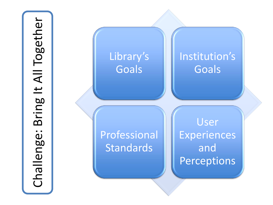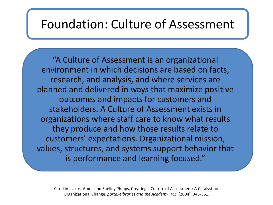#### Foundation: Culture of Assessment

"A Culture of Assessment is an organizational environment in which decisions are based on facts, research, and analysis, and where services are planned and delivered in ways that maximize positive outcomes and impacts for customers and stakeholders. A Culture of Assessment exists in organizations where staff care to know what results they produce and how those results relate to customers' expectations. Organizational mission, values, structures, and systems support behavior that is performance and learning focused."

Cited in: Lakos, Amos and Shelley Phipps, Creating a Culture of Assessment: A Catalyst for Organizational Change, *portal-Libraries and the Academy*, 4:3, (2004), 345-361.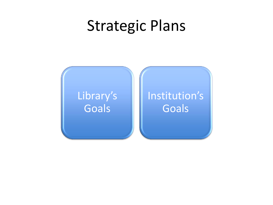## Strategic Plans



#### Institution's Goals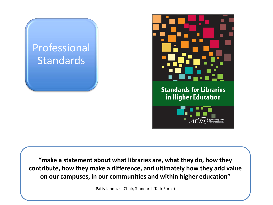



**"make a statement about what libraries are, what they do, how they contribute, how they make a difference, and ultimately how they add value on our campuses, in our communities and within higher education"** 

Patty Iannuzzi (Chair, Standards Task Force)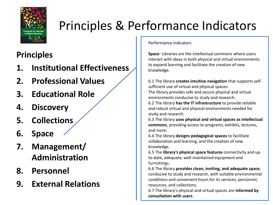

## Principles & Performance Indicators

#### **Principles**

- **1. Institutional Effectiveness**
- **2. Professional Values**
- **3. Educational Role**
- **4. Discovery**
- **5. Collections**
- **6. Space**
- **7. Management/ Administration**
- **8. Personnel**
- **9. External Relations**

Performance Indicators

**Space**: Libraries are the intellectual commons where users interact with ideas in both physical and virtual environments to expand learning and facilitate the creation of new knowledge.

6.1 The library **creates intuitive navigation** that supports selfsufficient use of virtual and physical spaces. The library provides safe and secure physical and virtual environments conducive to study and research.

6.2 The library **has the IT infrastructure** to provide reliable and robust virtual and physical environments needed for study and research.

6.3 The library **uses physical and virtual spaces as intellectual commons**, providing access to programs, exhibits, lectures, and more.

6.4 The library **designs pedagogical spaces** to facilitate collaboration and learning, and the creation of new knowledge.

6.5 The **library's physical space features** connectivity and upto-date, adequate, well-maintained equipment and furnishings.

6.6 The library **provides clean, inviting, and adequate space**, conducive to study and research, with suitable environmental conditions and convenient hours for its services, personnel, resources, and collections.

6.7 The library's physical and virtual spaces are **informed by consultation with users**.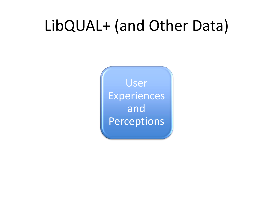## LibQUAL+ (and Other Data)

User Experiences and Perceptions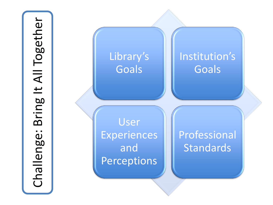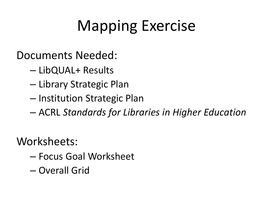# Mapping Exercise

Documents Needed:

- LibQUAL+ Results
- Library Strategic Plan
- Institution Strategic Plan
- ACRL *Standards for Libraries in Higher Education*

Worksheets:

- Focus Goal Worksheet
- Overall Grid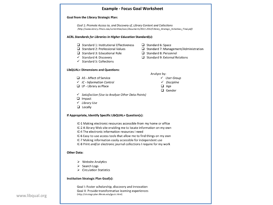

www.libqual.org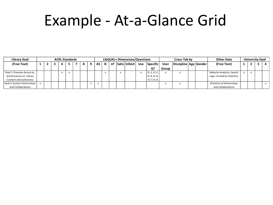## Example - At-a-Glance Grid

| <b>Library Goal</b>            | <b>ACRL Standards</b> |  |  |  |  |  |  |   | LibQUAL+ Dimensions/Questions |                 |  |  |                      |     |                   | Cross-Tab by |                           |  |  | <b>Other Data</b>            | <b>University Goal</b> |  |  |  |
|--------------------------------|-----------------------|--|--|--|--|--|--|---|-------------------------------|-----------------|--|--|----------------------|-----|-------------------|--------------|---------------------------|--|--|------------------------------|------------------------|--|--|--|
| (Free Text)                    |                       |  |  |  |  |  |  | o |                               | IC <sub>1</sub> |  |  | LP   Satis   InfoLit | Use | <b>Specific</b>   | <b>User</b>  | Discipline   Age   Gender |  |  | (Free Text)                  |                        |  |  |  |
|                                |                       |  |  |  |  |  |  |   |                               |                 |  |  |                      |     | Q?                | Group        |                           |  |  |                              |                        |  |  |  |
| Goal 1: Promote Access to,     |                       |  |  |  |  |  |  |   |                               |                 |  |  |                      |     | $IC-1$ ; $IC-2$ ; |              |                           |  |  | Website Analytics; Search    |                        |  |  |  |
| and Discovery of, Library      |                       |  |  |  |  |  |  |   |                               |                 |  |  |                      |     | $IC-4$ ; $IC-6$ ; |              |                           |  |  | Logs; Circulation Statistics |                        |  |  |  |
| <b>Content and Collections</b> |                       |  |  |  |  |  |  |   |                               |                 |  |  |                      |     | $IC-7$ ; $IC-8$   |              |                           |  |  |                              |                        |  |  |  |
| Goal 5: Sustain Partnerships   |                       |  |  |  |  |  |  |   |                               |                 |  |  |                      |     |                   |              |                           |  |  | Checklist of Partnerships    |                        |  |  |  |
| and Collaborations             |                       |  |  |  |  |  |  |   |                               |                 |  |  |                      |     |                   |              |                           |  |  | and Collaborations           |                        |  |  |  |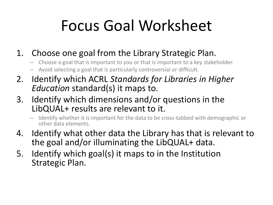# Focus Goal Worksheet

- 1. Choose one goal from the Library Strategic Plan.
	- Choose a goal that is important to you or that is important to a key stakeholder.
	- Avoid selecting a goal that is particularly controversial or difficult.
- 2. Identify which ACRL *Standards for Libraries in Higher Education* standard(s) it maps to.
- 3. Identify which dimensions and/or questions in the LibQUAL+ results are relevant to it.
	- Identify whether it is important for the data to be cross-tabbed with demographic or other data elements.
- 4. Identify what other data the Library has that is relevant to the goal and/or illuminating the LibQUAL+ data.
- 5. Identify which goal(s) it maps to in the Institution Strategic Plan.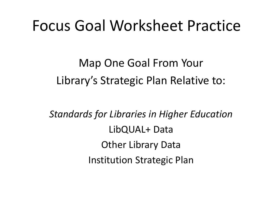## Focus Goal Worksheet Practice

Map One Goal From Your Library's Strategic Plan Relative to:

*Standards for Libraries in Higher Education* LibQUAL+ Data Other Library Data Institution Strategic Plan